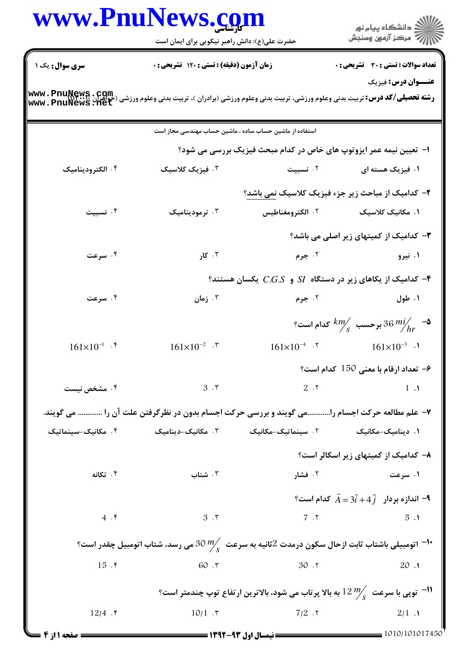|                                                                                                                                              | www.Pnulvews.com                                                                                                                                                                                                                    |                                                                                       | ڪ دانشڪاه پيام نور<br>ر∕ = مرڪز آزمون وسنڊش                           |
|----------------------------------------------------------------------------------------------------------------------------------------------|-------------------------------------------------------------------------------------------------------------------------------------------------------------------------------------------------------------------------------------|---------------------------------------------------------------------------------------|-----------------------------------------------------------------------|
|                                                                                                                                              | حضرت علی(ع): دانش راهبر نیکویی برای ایمان است                                                                                                                                                                                       |                                                                                       |                                                                       |
| سری سوال: یک ۱                                                                                                                               | زمان آزمون (دقیقه) : تستی : 120 گشریحی : 0                                                                                                                                                                                          |                                                                                       | <b>تعداد سوالات : تستی : 30 ٪ تشریحی : 0</b>                          |
| <b>رشته تحصیلی/کد درس:</b> تربیت بدنی وعلوم ورزشی، تربیت بدنی وعلوم ورزشی (برادران )، تربیت بدنی وعلوم ورزشی (حواهران<br>www . PnuNews . Het |                                                                                                                                                                                                                                     |                                                                                       | <b>عنـــوان درس:</b> فیزیک                                            |
|                                                                                                                                              | استفاده از ماشین حساب ساده ، ماشین حساب مهندسی مجاز است                                                                                                                                                                             |                                                                                       |                                                                       |
|                                                                                                                                              |                                                                                                                                                                                                                                     | ا- تعیین نیمه عمر ایزوتوپ های خاص در کدام مبحث فیزیک بررسی می شود؟                    |                                                                       |
| ۰۴ الکترودینامیک                                                                                                                             | ۰۳ فیزیک کلاسیک                                                                                                                                                                                                                     | ۰۲ نسبیت                                                                              | ۱. فیزیک هسته ای                                                      |
|                                                                                                                                              |                                                                                                                                                                                                                                     | ۲- کدامیک از مباحث زیر جزء فیزیک کلاسیک نمی باشد؟                                     |                                                                       |
| ۰۴ نسبیت                                                                                                                                     | ۰۳ ترمودینامیک                                                                                                                                                                                                                      | ۰۲ الکترومغناطیس                                                                      | ۱. مکانیک کلاسیک                                                      |
|                                                                                                                                              |                                                                                                                                                                                                                                     |                                                                                       | <b>۳</b> – کدامیک از کمیتهای زیر اصلی می باشد؟                        |
| ۰۴ سرعت                                                                                                                                      | $5 - 7$ کار                                                                                                                                                                                                                         | ۰۲ جرم                                                                                | ۰۱ نیرو                                                               |
|                                                                                                                                              |                                                                                                                                                                                                                                     | - کدامیک از یکاهای زیر در دستگاه SI و $CS$ . یکسان هستند $\bullet$                    |                                                                       |
| ۰۴ سرعت                                                                                                                                      | ۰۳ زمان                                                                                                                                                                                                                             | ۰۲ جرم                                                                                | ۰۱ طول                                                                |
|                                                                                                                                              |                                                                                                                                                                                                                                     |                                                                                       | $^8$ ه- $\frac{km}{hr}$ برحسب $\frac{km}{s}$ كدام است $\frac{km}{hr}$ |
| $161\times10^{-1}$ .                                                                                                                         | $161\times10^{-2}$ . \vert \times \times \times \times \times \times \times \times \times \times \times \times \times \times \times \times \times \times \times \times \times \times \times \times \times \times \times \times \tim | $161\times10^{-4}$ .                                                                  | $161\times10^{-3}$ .                                                  |
|                                                                                                                                              |                                                                                                                                                                                                                                     |                                                                                       | $\cdot$ = تعداد ارقام با معنى 150 كدام است $\cdot$                    |
| ۰۴ مشخص نیست                                                                                                                                 | 3.7                                                                                                                                                                                                                                 | 2.7                                                                                   | $1 \cdot \lambda$                                                     |
|                                                                                                                                              | ۷– علم مطالعه حرکت اجسام رامی گویند و بررسی حرکت اجسام بدون در نظرگرفتن علت آن را  می گویند.                                                                                                                                        |                                                                                       |                                                                       |
| ۰۴ مکانیک-سینماتیک                                                                                                                           | ۰۳ مکانیک–دینامیک                                                                                                                                                                                                                   | ۰۲ سینماتیک-مکانیک                                                                    | ۰۱ دینامیک-مکانیک                                                     |
|                                                                                                                                              |                                                                                                                                                                                                                                     |                                                                                       | ۸– کدامیک از کمیتهای زیر اسکالر است؟                                  |
| ۰۴ تکانه                                                                                                                                     | ۰۳ شتاب                                                                                                                                                                                                                             | ۰۲ فشار                                                                               | ۰۱ سرعت میکنند. است که است                                            |
|                                                                                                                                              |                                                                                                                                                                                                                                     |                                                                                       | اندازه بردار $\hat{A}=3\hat{i}+4\,\hat{j}$ کدام است؟ $\vec{A}$        |
| 4.5                                                                                                                                          | 3.7                                                                                                                                                                                                                                 |                                                                                       | 7.7<br>5.1                                                            |
|                                                                                                                                              | اتومبیلی باشتاب ثابت ازحال سکون درمدت $2$ ثانیه به سرعت $\frac{m}{s}$ 30 می رسد، شتاب اتومبیل چقدر است؟ $^{-1}$ ۰                                                                                                                   |                                                                                       |                                                                       |
| $15.$ ۴                                                                                                                                      | 60.7                                                                                                                                                                                                                                | $30.7$                                                                                | 20.1                                                                  |
|                                                                                                                                              |                                                                                                                                                                                                                                     | توپی با سرعت $\frac{n}{s}$ 12 به بالا پرتاب می شود، بالاترین ارتفاع توپ چندمتر است؟ " |                                                                       |
| 12/4 $\cdot$ $\cdot$                                                                                                                         | 10/1.7                                                                                                                                                                                                                              | $7/2$ . $\tau$                                                                        | 2/1.1                                                                 |

 $\blacksquare$ 

 $1010/101017450$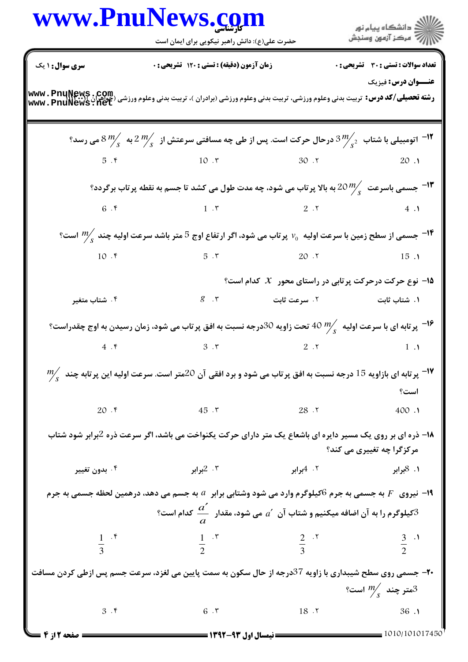|                                     | www.PnuNews.com<br>حضرت علی(ع): دانش راهبر نیکویی برای ایمان است                                                                                                                                                                                                                                  |                         | ان دانشگاه پيام نور<br>      <br>                                    |
|-------------------------------------|---------------------------------------------------------------------------------------------------------------------------------------------------------------------------------------------------------------------------------------------------------------------------------------------------|-------------------------|----------------------------------------------------------------------|
| <b>سری سوال : ۱ یک</b>              | زمان آزمون (دقیقه) : تستی : ۱۲۰ تشریحی : ۰                                                                                                                                                                                                                                                        |                         | تعداد سوالات : تستى : 30 - تشريحي : 0                                |
|                                     | <b>رشته تحصیلی/کد درس:</b> تربیت بدنی وعلوم ورزشی، تربیت بدنی وعلوم ورزشی (برادران )، تربیت بدنی وعلوم ورزشی (جواهران www. PnuNews . Com<br>www. PnuNews . Net                                                                                                                                    |                         | <b>عنـــوان درس:</b> فیزیک                                           |
|                                     | ا اتومبیلی با شتاب $\frac{3}{s}$ درحال حرکت است. پس از طی چه مسافتی سرعتش از $\frac{2}{s}$ به $\frac{8}{s}$ می رسد $^{-1}$                                                                                                                                                                        |                         |                                                                      |
|                                     | $5.5$ $10.7$ $30.7$ $20.1$                                                                                                                                                                                                                                                                        |                         |                                                                      |
|                                     | ا— جسمی باسرعت $20\frac{m}{\ell}$ به بالا پر ااب می شود، چه مدت طول می کشد تا جسم به نقطه پر تاب برگردد؟ $-$ ۱۲ $-$                                                                                                                                                                               |                         |                                                                      |
|                                     | 6 . 6 $(1 \cdot 5)$                                                                                                                                                                                                                                                                               |                         |                                                                      |
|                                     | م به است؟ $\mu$ است؟ $V_0$ برتاب می شود، اگر ارتفاع اوج 5 متر باشد سرعت اولیه چند $\frac{m}{2}$ است $^{-11}$                                                                                                                                                                                      |                         |                                                                      |
|                                     | $10.$ $\sqrt{ }$                                                                                                                                                                                                                                                                                  |                         | $5.7$ $20.7$ $15.1$                                                  |
|                                     |                                                                                                                                                                                                                                                                                                   |                         | ۹۵ نوع حرکت درحرکت پرتابی در راستای محور $\,\mathcal{X}\,$ کدام است؟ |
| ۰۴ شتاب متغیر                       |                                                                                                                                                                                                                                                                                                   |                         |                                                                      |
|                                     | بر تابه ای با سرعت اولیه $\frac{m}{s}$ 40 تحت زاویه 30درجه نسبت به افق پر تاب می شود، زمان رسیدن به اوج چقدراست؟ $^{-18}$                                                                                                                                                                         |                         |                                                                      |
|                                     | 4 . 6 $3 \cdot 5$ 3 . $\sqrt{2}$ . $\sqrt{2}$ . $\sqrt{2}$ . $\sqrt{2}$ . $\sqrt{2}$ . $\sqrt{2}$ . $\sqrt{2}$ . $\sqrt{2}$ . $\sqrt{2}$ . $\sqrt{2}$ . $\sqrt{2}$ . $\sqrt{2}$ . $\sqrt{2}$ . $\sqrt{2}$ . $\sqrt{2}$ . $\sqrt{2}$ . $\sqrt{2}$ . $\sqrt{2}$ . $\sqrt{2}$ . $\sqrt{2}$ . $\sqrt$ |                         |                                                                      |
|                                     | $\frac{m_e}{s}$ یر تابه ای بازاویه 15 درجه نسبت به افق پر تاب می شود و برد افقی آن 20متر است. سرعت اولیه این پر تابه چند $^{20}$                                                                                                                                                                  |                         |                                                                      |
|                                     |                                                                                                                                                                                                                                                                                                   |                         | است؟                                                                 |
| $20.$ ۴                             | $45.7$ 28.7                                                                                                                                                                                                                                                                                       |                         | 400.1                                                                |
|                                     | ۱۸– ذره ای بر روی یک مسیر دایره ای باشعاع یک متر دارای حرکت یکنواخت می باشد، اگر سرعت ذره 2برابر شود شتاب                                                                                                                                                                                         |                         | مرکزگرا چه تغییری می کند؟                                            |
| ۰۴ بدون تغییر                       | برابر $2$ . ۳                                                                                                                                                                                                                                                                                     | ۲. 4برابر <b>می</b> ران | ۰۱ 8برابر                                                            |
|                                     | ا نیروی۔ $F$ به جسمی به جرم $6$ کیلوگرم وارد می شود وشتابی برابر۔ $a$ به جسم می دهد، درهمین لحظه جسمی به جرم $\blacksquare$                                                                                                                                                                       |                         |                                                                      |
|                                     | $^2$ کیلوگرم را به آن اضافه میکنیم و شتاب آن $a'$ می شود، مقدار $\cfrac{a'}{a}$ کدام است $^3$                                                                                                                                                                                                     |                         |                                                                      |
| $\frac{1}{3}$ $\cdot$ $\frac{1}{3}$ | $\frac{1}{2}$ $\frac{1}{2}$ $\frac{1}{2}$ $\frac{3}{2}$ $\frac{3}{2}$                                                                                                                                                                                                                             |                         |                                                                      |
|                                     | +۲- جسمی روی سطح شیبداری با زاویه 37درجه از حال سکون به سمت پایین می لغزد، سرعت جسم پس ازطی کردن مسافت                                                                                                                                                                                            |                         | متر چند $\frac{m}{s}$ است؟ $^3$                                      |
|                                     | $3.5$ $6.7$ $18.7$ $36.1$                                                                                                                                                                                                                                                                         |                         |                                                                      |
| <b>ــــ صفحه 2 از 4</b>             |                                                                                                                                                                                                                                                                                                   |                         |                                                                      |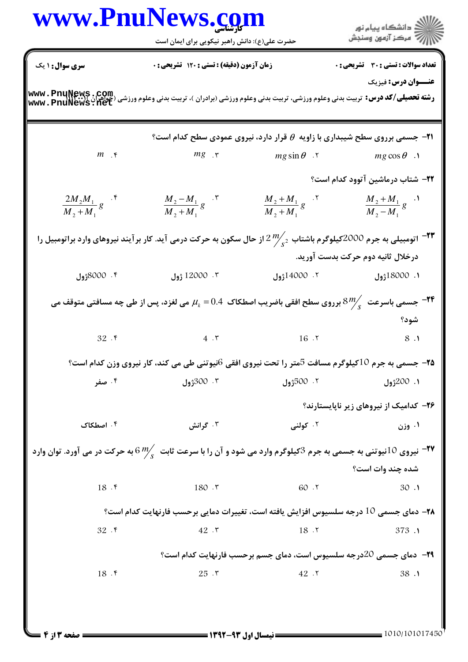| <b>سری سوال :</b> ۱ یک<br><b>زمان آزمون (دقیقه) : تستی : 120 تشریحی : 0</b><br><b>رشته تحصیلی/کد درس:</b> تربیت بدنی وعلوم ورزشی، تربیت بدنی وعلوم ورزشی (برادران )، تربیت بدنی وعلوم ورزشی (عمیر بن<br>Www . PnuNews . net<br>Www . PnuNews . net<br>$m \rightarrow \epsilon$<br>$mg$ $\cdot$ $\tau$<br>$\frac{M_2 - M_1}{M_2 + M_1} g$ . $\tilde{r}$<br>$\frac{2M_2M_1}{M_2+M_1}g$ . f<br>اتومبیلی به جرم 2000کیلوگرم باشتاب $2\frac{m}{s^2}$ از حال سکون به حرکت درمی آید. کار بر آیند نیروهای وارد براتومبیل را $-$ ۲۳<br>12000 ژول<br>۰۴ 8000° <b>زول</b><br>جسمی باسرعت $\frac{8}{3}$ برروی سطح افقی باضریب اصطکاک $0.4$ $\mu_{k}$ می لغزد، پس از طی چه مسافتی متوقف می $^{-1}$ ۴ $^{-1}$<br>$32.$ $\zeta$<br>$4.7$ 16.7<br>جسمی به جرم 10کیلوگرم مسافت 5متر را تحت نیروی افقی 6نیوتنی طی می کند، کار نیروی وزن کدام است؟ $\,$<br>۰۳ 300 <sub>ژول</sub><br>۰۴ صفر<br>۰۴ اصطکاک<br>۰۳ گرانش<br>نیروی 10نیوتنی به جسمی به جرم 3کیلوگرم وارد می شود و آن را با سرعت ثابت $\frac{m}{s}$ به حرکت در می آورد. توان وارد $^2$<br>18.5<br>180.7<br>۲۸– دمای جسمی 10 درجه سلسیوس افزایش یافته است، تغییرات دمایی برحسب فارنهایت کدام است؟<br>32.5<br>42.7 | $\frac{M_2 + M_1}{M_2 + M_1} g$ . Y<br>۲. 14000 <b>ژول</b> | <b>تعداد سوالات : تستی : 30 ٪ تشریحی : 0</b><br>عنــوان درس: فیزیک<br><b>31- جسمی برروی سطح شیبداری با زاویه <math>\theta</math> قرار دارد، نیروی عمودی سطح کدام است؟</b><br>$mg \sin \theta$ . T mg $\cos \theta$ .<br><b>۲۲</b> - شتاب درماشین آتوود کدام است؟<br>$\frac{M_2 + M_1}{M_2 - M_1} g$ .<br>درخلال ثانيه دوم حركت بدست آوريد.<br>۱. 18000ژول<br>شود؟ |
|--------------------------------------------------------------------------------------------------------------------------------------------------------------------------------------------------------------------------------------------------------------------------------------------------------------------------------------------------------------------------------------------------------------------------------------------------------------------------------------------------------------------------------------------------------------------------------------------------------------------------------------------------------------------------------------------------------------------------------------------------------------------------------------------------------------------------------------------------------------------------------------------------------------------------------------------------------------------------------------------------------------------------------------------------------------------------------------------------------------------------------------------------------|------------------------------------------------------------|-------------------------------------------------------------------------------------------------------------------------------------------------------------------------------------------------------------------------------------------------------------------------------------------------------------------------------------------------------------------|
|                                                                                                                                                                                                                                                                                                                                                                                                                                                                                                                                                                                                                                                                                                                                                                                                                                                                                                                                                                                                                                                                                                                                                        |                                                            |                                                                                                                                                                                                                                                                                                                                                                   |
|                                                                                                                                                                                                                                                                                                                                                                                                                                                                                                                                                                                                                                                                                                                                                                                                                                                                                                                                                                                                                                                                                                                                                        |                                                            |                                                                                                                                                                                                                                                                                                                                                                   |
|                                                                                                                                                                                                                                                                                                                                                                                                                                                                                                                                                                                                                                                                                                                                                                                                                                                                                                                                                                                                                                                                                                                                                        |                                                            |                                                                                                                                                                                                                                                                                                                                                                   |
|                                                                                                                                                                                                                                                                                                                                                                                                                                                                                                                                                                                                                                                                                                                                                                                                                                                                                                                                                                                                                                                                                                                                                        |                                                            |                                                                                                                                                                                                                                                                                                                                                                   |
|                                                                                                                                                                                                                                                                                                                                                                                                                                                                                                                                                                                                                                                                                                                                                                                                                                                                                                                                                                                                                                                                                                                                                        |                                                            |                                                                                                                                                                                                                                                                                                                                                                   |
|                                                                                                                                                                                                                                                                                                                                                                                                                                                                                                                                                                                                                                                                                                                                                                                                                                                                                                                                                                                                                                                                                                                                                        |                                                            |                                                                                                                                                                                                                                                                                                                                                                   |
|                                                                                                                                                                                                                                                                                                                                                                                                                                                                                                                                                                                                                                                                                                                                                                                                                                                                                                                                                                                                                                                                                                                                                        |                                                            |                                                                                                                                                                                                                                                                                                                                                                   |
|                                                                                                                                                                                                                                                                                                                                                                                                                                                                                                                                                                                                                                                                                                                                                                                                                                                                                                                                                                                                                                                                                                                                                        |                                                            |                                                                                                                                                                                                                                                                                                                                                                   |
|                                                                                                                                                                                                                                                                                                                                                                                                                                                                                                                                                                                                                                                                                                                                                                                                                                                                                                                                                                                                                                                                                                                                                        |                                                            |                                                                                                                                                                                                                                                                                                                                                                   |
|                                                                                                                                                                                                                                                                                                                                                                                                                                                                                                                                                                                                                                                                                                                                                                                                                                                                                                                                                                                                                                                                                                                                                        |                                                            |                                                                                                                                                                                                                                                                                                                                                                   |
|                                                                                                                                                                                                                                                                                                                                                                                                                                                                                                                                                                                                                                                                                                                                                                                                                                                                                                                                                                                                                                                                                                                                                        |                                                            | 8.1                                                                                                                                                                                                                                                                                                                                                               |
|                                                                                                                                                                                                                                                                                                                                                                                                                                                                                                                                                                                                                                                                                                                                                                                                                                                                                                                                                                                                                                                                                                                                                        |                                                            |                                                                                                                                                                                                                                                                                                                                                                   |
|                                                                                                                                                                                                                                                                                                                                                                                                                                                                                                                                                                                                                                                                                                                                                                                                                                                                                                                                                                                                                                                                                                                                                        | ۰۲ 500 <sub>ژول</sub>                                      | <b>1. 200ژول</b>                                                                                                                                                                                                                                                                                                                                                  |
|                                                                                                                                                                                                                                                                                                                                                                                                                                                                                                                                                                                                                                                                                                                                                                                                                                                                                                                                                                                                                                                                                                                                                        |                                                            | ۲۶– کدامیک از نیروهای زیر ناپایستارند؟                                                                                                                                                                                                                                                                                                                            |
|                                                                                                                                                                                                                                                                                                                                                                                                                                                                                                                                                                                                                                                                                                                                                                                                                                                                                                                                                                                                                                                                                                                                                        | ۰۲ کولنی                                                   | ۰۱ وزن                                                                                                                                                                                                                                                                                                                                                            |
|                                                                                                                                                                                                                                                                                                                                                                                                                                                                                                                                                                                                                                                                                                                                                                                                                                                                                                                                                                                                                                                                                                                                                        |                                                            |                                                                                                                                                                                                                                                                                                                                                                   |
|                                                                                                                                                                                                                                                                                                                                                                                                                                                                                                                                                                                                                                                                                                                                                                                                                                                                                                                                                                                                                                                                                                                                                        |                                                            | شده چند وات است؟                                                                                                                                                                                                                                                                                                                                                  |
|                                                                                                                                                                                                                                                                                                                                                                                                                                                                                                                                                                                                                                                                                                                                                                                                                                                                                                                                                                                                                                                                                                                                                        | 60.7                                                       | 30.1                                                                                                                                                                                                                                                                                                                                                              |
|                                                                                                                                                                                                                                                                                                                                                                                                                                                                                                                                                                                                                                                                                                                                                                                                                                                                                                                                                                                                                                                                                                                                                        |                                                            |                                                                                                                                                                                                                                                                                                                                                                   |
|                                                                                                                                                                                                                                                                                                                                                                                                                                                                                                                                                                                                                                                                                                                                                                                                                                                                                                                                                                                                                                                                                                                                                        | 18.7                                                       | 373.1                                                                                                                                                                                                                                                                                                                                                             |
|                                                                                                                                                                                                                                                                                                                                                                                                                                                                                                                                                                                                                                                                                                                                                                                                                                                                                                                                                                                                                                                                                                                                                        |                                                            |                                                                                                                                                                                                                                                                                                                                                                   |
| 25.7<br>18.                                                                                                                                                                                                                                                                                                                                                                                                                                                                                                                                                                                                                                                                                                                                                                                                                                                                                                                                                                                                                                                                                                                                            |                                                            | <b>۲۹</b> - دمای جسمی 20درجه سلسیوس است، دمای جسم برحسب فارنهایت کدام است؟                                                                                                                                                                                                                                                                                        |